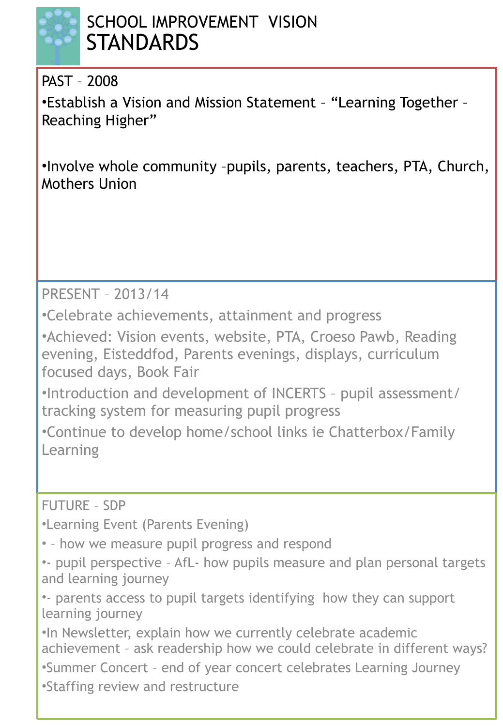

# SCHOOL IMPROVEMENT VISION **STANDARDS**

PAST – 2008

•Establish a Vision and Mission Statement – "Learning Together – Reaching Higher"

•Involve whole community –pupils, parents, teachers, PTA, Church, Mothers Union

PRESENT – 2013/14

•Celebrate achievements, attainment and progress

•Achieved: Vision events, website, PTA, Croeso Pawb, Reading evening, Eisteddfod, Parents evenings, displays, curriculum focused days, Book Fair

•Introduction and development of INCERTS – pupil assessment/ tracking system for measuring pupil progress

•Continue to develop home/school links ie Chatterbox/Family Learning

FUTURE – SDP

•Learning Event (Parents Evening)

• – how we measure pupil progress and respond

•- pupil perspective – AfL- how pupils measure and plan personal targets and learning journey

•- parents access to pupil targets identifying how they can support learning journey

•In Newsletter, explain how we currently celebrate academic achievement – ask readership how we could celebrate in different ways?

•Summer Concert – end of year concert celebrates Learning Journey

•Staffing review and restructure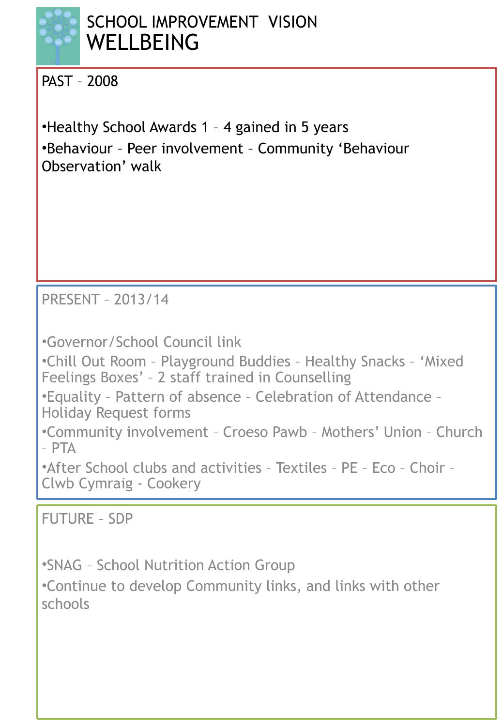

# SCHOOL IMPROVEMENT VISION **WELLBEING**

PAST – 2008

•Healthy School Awards 1 – 4 gained in 5 years •Behaviour – Peer involvement – Community 'Behaviour Observation' walk

PRESENT – 2013/14

•Governor/School Council link

•Chill Out Room – Playground Buddies – Healthy Snacks – 'Mixed Feelings Boxes' – 2 staff trained in Counselling

•Equality – Pattern of absence – Celebration of Attendance – Holiday Request forms

•Community involvement – Croeso Pawb – Mothers' Union – Church – PTA

•After School clubs and activities – Textiles – PE – Eco – Choir – Clwb Cymraig - Cookery

FUTURE – SDP

•SNAG – School Nutrition Action Group

•Continue to develop Community links, and links with other schools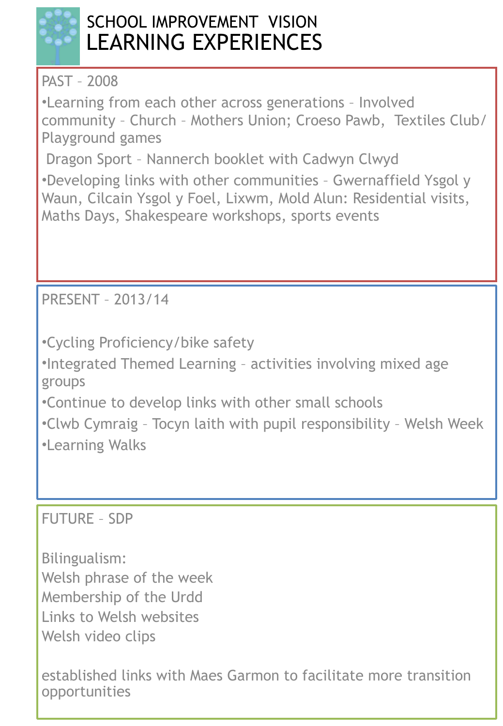

# SCHOOL IMPROVEMENT VISION LEARNING EXPERIENCES

PAST – 2008

•Learning from each other across generations – Involved community – Church – Mothers Union; Croeso Pawb, Textiles Club/ Playground games

Dragon Sport – Nannerch booklet with Cadwyn Clwyd

•Developing links with other communities – Gwernaffield Ysgol y Waun, Cilcain Ysgol y Foel, Lixwm, Mold Alun: Residential visits, Maths Days, Shakespeare workshops, sports events

PRESENT – 2013/14

•Cycling Proficiency/bike safety

•Integrated Themed Learning – activities involving mixed age groups

•Continue to develop links with other small schools

•Clwb Cymraig – Tocyn laith with pupil responsibility – Welsh Week •Learning Walks

FUTURE – SDP

Bilingualism: Welsh phrase of the week Membership of the Urdd Links to Welsh websites Welsh video clips

established links with Maes Garmon to facilitate more transition opportunities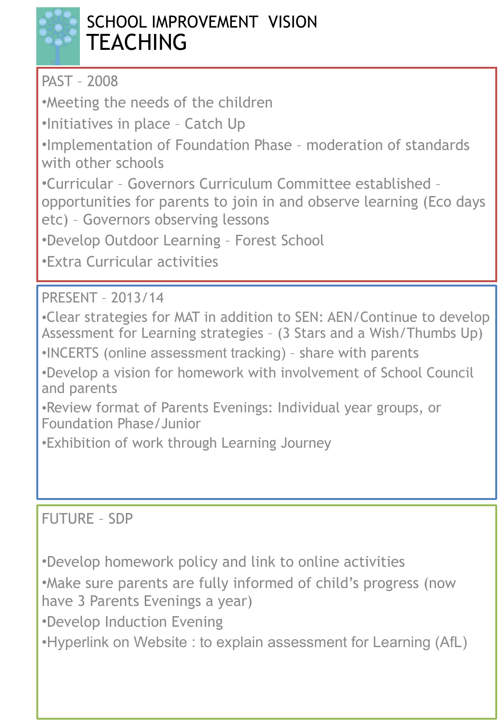

# SCHOOL IMPROVEMENT VISION **TEACHING**

PAST – 2008

•Meeting the needs of the children

•Initiatives in place – Catch Up

•Implementation of Foundation Phase – moderation of standards with other schools

•Curricular – Governors Curriculum Committee established –

opportunities for parents to join in and observe learning (Eco days etc) – Governors observing lessons

•Develop Outdoor Learning – Forest School

•Extra Curricular activities

PRESENT – 2013/14

•Clear strategies for MAT in addition to SEN: AEN/Continue to develop Assessment for Learning strategies – (3 Stars and a Wish/Thumbs Up)

•INCERTS (online assessment tracking) – share with parents

•Develop a vision for homework with involvement of School Council and parents

•Review format of Parents Evenings: Individual year groups, or Foundation Phase/Junior

•Exhibition of work through Learning Journey

### FUTURE – SDP

•Develop homework policy and link to online activities

•Make sure parents are fully informed of child's progress (now have 3 Parents Evenings a year)

•Develop Induction Evening

•Hyperlink on Website : to explain assessment for Learning (AfL)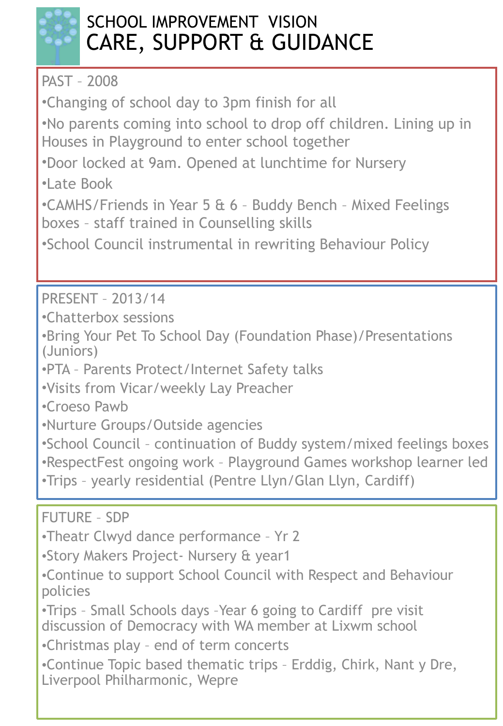

# SCHOOL IMPROVEMENT VISION CARE, SUPPORT & GUIDANCE

PAST – 2008

•Changing of school day to 3pm finish for all

•No parents coming into school to drop off children. Lining up in Houses in Playground to enter school together

•Door locked at 9am. Opened at lunchtime for Nursery

•Late Book

•CAMHS/Friends in Year 5 & 6 – Buddy Bench – Mixed Feelings boxes – staff trained in Counselling skills

•School Council instrumental in rewriting Behaviour Policy

PRESENT – 2013/14

•Chatterbox sessions

•Bring Your Pet To School Day (Foundation Phase)/Presentations (Juniors)

•PTA – Parents Protect/Internet Safety talks

•Visits from Vicar/weekly Lay Preacher

•Croeso Pawb

•Nurture Groups/Outside agencies

•School Council – continuation of Buddy system/mixed feelings boxes

•RespectFest ongoing work – Playground Games workshop learner led

•Trips – yearly residential (Pentre Llyn/Glan Llyn, Cardiff)

FUTURE – SDP

•Theatr Clwyd dance performance – Yr 2

•Story Makers Project- Nursery & year1

•Continue to support School Council with Respect and Behaviour policies

•Trips – Small Schools days –Year 6 going to Cardiff pre visit discussion of Democracy with WA member at Lixwm school

•Christmas play – end of term concerts

•Continue Topic based thematic trips – Erddig, Chirk, Nant y Dre, Liverpool Philharmonic, Wepre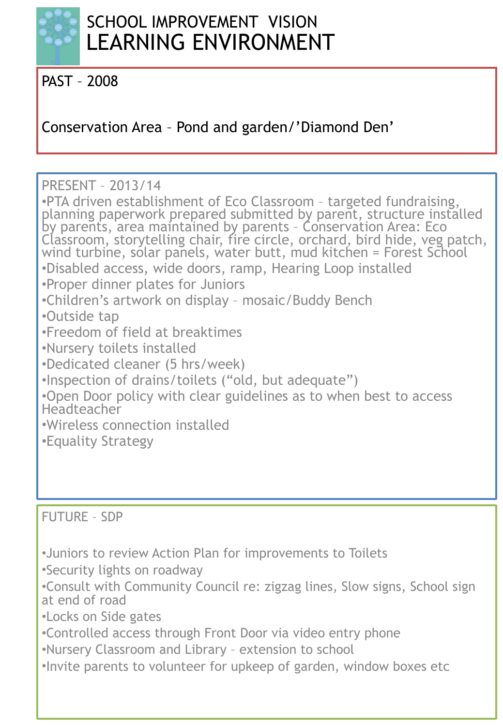

PAST – 2008

Conservation Area – Pond and garden/'Diamond Den'

PRESENT – 2013/14

•PTA driven establishment of Eco Classroom – targeted fundraising, planning paperwork prepared submitted by parent, structure installed by parents, area maintained by parents – Conservation Area: Eco Classroom, storytelling chair, fire circle, orchard, bird hide, veg patch, wind turbine, solar panels, water butt, mud kitchen = Forest School •Disabled access, wide doors, ramp, Hearing Loop installed •Proper dinner plates for Juniors •Children's artwork on display – mosaic/Buddy Bench •Outside tap •Freedom of field at breaktimes •Nursery toilets installed •Dedicated cleaner (5 hrs/week) •Inspection of drains/toilets ("old, but adequate") •Open Door policy with clear guidelines as to when best to access Headteacher •Wireless connection installed •Equality Strategy

FUTURE – SDP

•Juniors to review Action Plan for improvements to Toilets

•Security lights on roadway

•Consult with Community Council re: zigzag lines, Slow signs, School sign at end of road

•Locks on Side gates

•Controlled access through Front Door via video entry phone

•Nursery Classroom and Library – extension to school

•Invite parents to volunteer for upkeep of garden, window boxes etc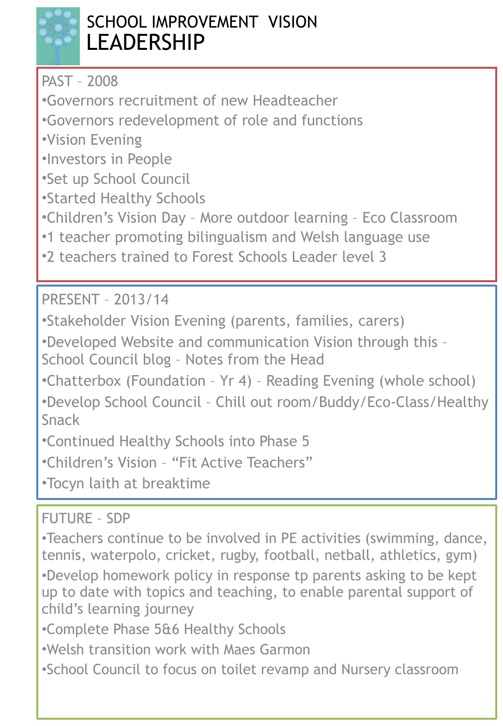

# SCHOOL IMPROVEMENT VISION LEADERSHIP

PAST – 2008

•Governors recruitment of new Headteacher

•Governors redevelopment of role and functions

•Vision Evening

•Investors in People

•Set up School Council

•Started Healthy Schools

•Children's Vision Day – More outdoor learning – Eco Classroom

•1 teacher promoting bilingualism and Welsh language use

•2 teachers trained to Forest Schools Leader level 3

PRESENT – 2013/14

•Stakeholder Vision Evening (parents, families, carers)

•Developed Website and communication Vision through this –

School Council blog – Notes from the Head

•Chatterbox (Foundation – Yr 4) – Reading Evening (whole school)

•Develop School Council – Chill out room/Buddy/Eco-Class/Healthy Snack

•Continued Healthy Schools into Phase 5

•Children's Vision – "Fit Active Teachers"

•Tocyn laith at breaktime

FUTURE – SDP

•Teachers continue to be involved in PE activities (swimming, dance, tennis, waterpolo, cricket, rugby, football, netball, athletics, gym) •Develop homework policy in response tp parents asking to be kept up to date with topics and teaching, to enable parental support of child's learning journey

•Complete Phase 5&6 Healthy Schools

•Welsh transition work with Maes Garmon

•School Council to focus on toilet revamp and Nursery classroom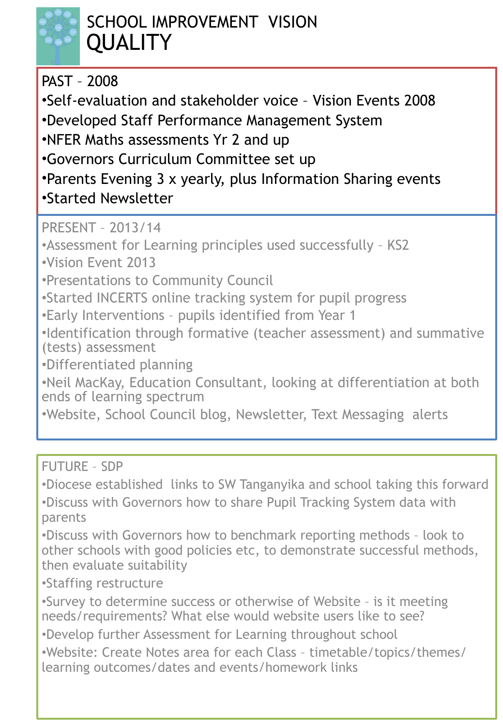

# SCHOOL IMPROVEMENT VISION **QUALITY**

#### PAST – 2008

•Self-evaluation and stakeholder voice – Vision Events 2008

•Developed Staff Performance Management System

•NFER Maths assessments Yr 2 and up

•Governors Curriculum Committee set up

•Parents Evening 3 x yearly, plus Information Sharing events

•Started Newsletter

PRESENT – 2013/14

•Assessment for Learning principles used successfully – KS2

•Vision Event 2013

•Presentations to Community Council

•Started INCERTS online tracking system for pupil progress

•Early Interventions – pupils identified from Year 1

•Identification through formative (teacher assessment) and summative (tests) assessment

•Differentiated planning

•Neil MacKay, Education Consultant, looking at differentiation at both ends of learning spectrum

•Website, School Council blog, Newsletter, Text Messaging alerts

FUTURE – SDP

•Diocese established links to SW Tanganyika and school taking this forward •Discuss with Governors how to share Pupil Tracking System data with parents

•Discuss with Governors how to benchmark reporting methods – look to other schools with good policies etc, to demonstrate successful methods, then evaluate suitability

•Staffing restructure

•Survey to determine success or otherwise of Website – is it meeting needs/requirements? What else would website users like to see?

•Develop further Assessment for Learning throughout school

•Website: Create Notes area for each Class – timetable/topics/themes/ learning outcomes/dates and events/homework links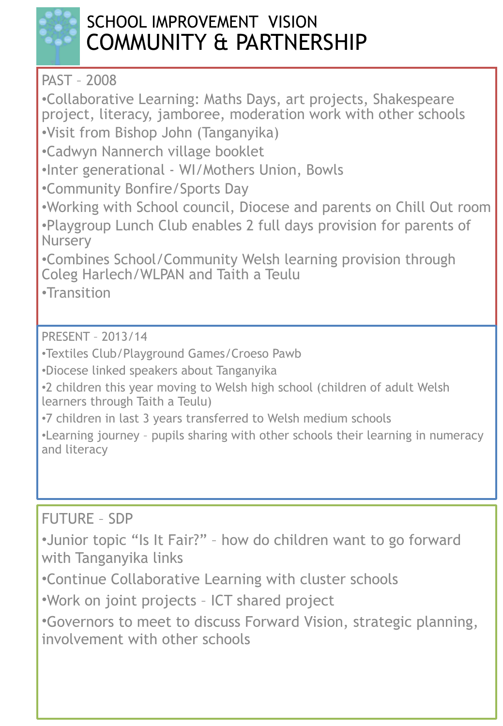

# SCHOOL IMPROVEMENT VISION COMMUNITY & PARTNERSHIP

PAST – 2008

•Collaborative Learning: Maths Days, art projects, Shakespeare project, literacy, jamboree, moderation work with other schools •Visit from Bishop John (Tanganyika)

•Cadwyn Nannerch village booklet

•Inter generational - WI/Mothers Union, Bowls

•Community Bonfire/Sports Day

•Working with School council, Diocese and parents on Chill Out room •Playgroup Lunch Club enables 2 full days provision for parents of **Nursery** 

•Combines School/Community Welsh learning provision through Coleg Harlech/WLPAN and Taith a Teulu

•Transition

PRESENT – 2013/14

•Textiles Club/Playground Games/Croeso Pawb

•Diocese linked speakers about Tanganyika

•2 children this year moving to Welsh high school (children of adult Welsh learners through Taith a Teulu)

•7 children in last 3 years transferred to Welsh medium schools

•Learning journey – pupils sharing with other schools their learning in numeracy and literacy

FUTURE – SDP

•Junior topic "Is It Fair?" – how do children want to go forward with Tanganyika links

•Continue Collaborative Learning with cluster schools

•Work on joint projects – ICT shared project

•Governors to meet to discuss Forward Vision, strategic planning, involvement with other schools